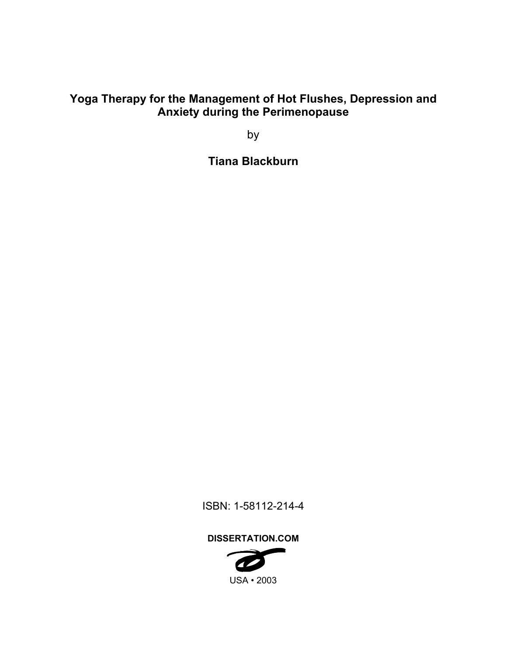# **Yoga Therapy for the Management of Hot Flushes, Depression and Anxiety during the Perimenopause**

by

**Tiana Blackburn** 

ISBN: 1-58112-214-4

**DISSERTATION.COM** 

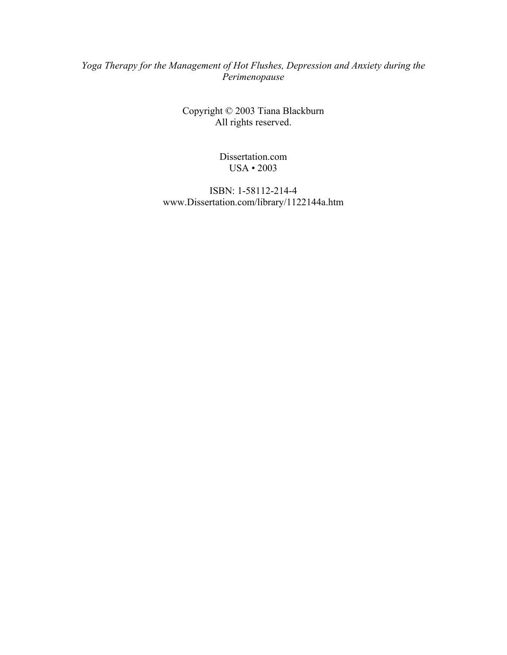## *Yoga Therapy for the Management of Hot Flushes, Depression and Anxiety during the Perimenopause*

Copyright © 2003 Tiana Blackburn All rights reserved.

> Dissertation.com USA • 2003

ISBN: 1-58112-214-4 www.Dissertation.com/library/1122144a.htm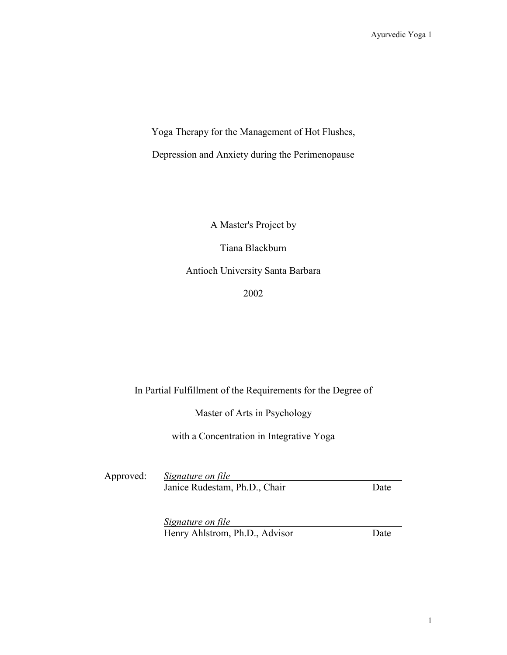Yoga Therapy for the Management of Hot Flushes,

Depression and Anxiety during the Perimenopause

A Master's Project by

Tiana Blackburn

Antioch University Santa Barbara

2002

## In Partial Fulfillment of the Requirements for the Degree of

Master of Arts in Psychology

with a Concentration in Integrative Yoga

Approved: *Signature on file*  Janice Rudestam, Ph.D., Chair Date

*Signature on file* Henry Ahlstrom, Ph.D., Advisor Date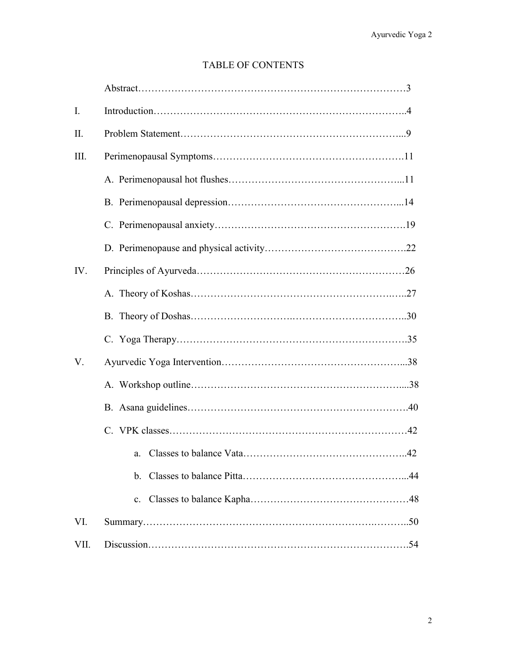## TABLE OF CONTENTS

| $\mathbf{I}$ . |    |
|----------------|----|
| $\prod$ .      |    |
| III.           |    |
|                |    |
|                |    |
|                |    |
|                |    |
| IV.            |    |
|                |    |
|                |    |
|                |    |
| $V_{\cdot}$    |    |
|                |    |
|                |    |
|                |    |
|                |    |
|                | b. |
|                |    |
| VI.            |    |
| VII.           |    |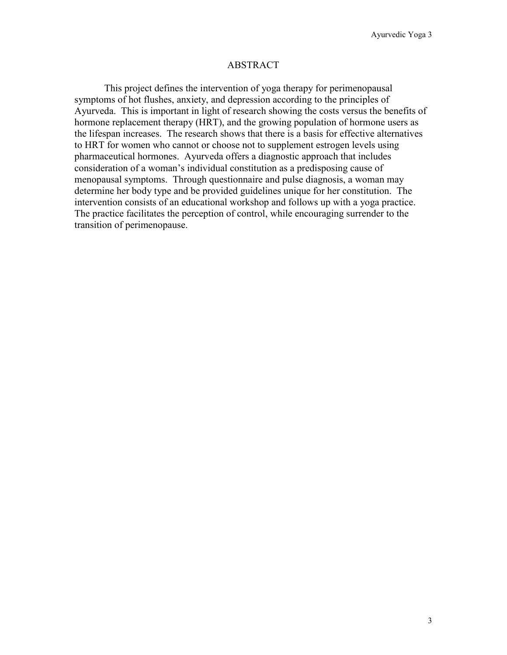### ABSTRACT

This project defines the intervention of yoga therapy for perimenopausal symptoms of hot flushes, anxiety, and depression according to the principles of Ayurveda. This is important in light of research showing the costs versus the benefits of hormone replacement therapy (HRT), and the growing population of hormone users as the lifespan increases. The research shows that there is a basis for effective alternatives to HRT for women who cannot or choose not to supplement estrogen levels using pharmaceutical hormones. Ayurveda offers a diagnostic approach that includes consideration of a woman's individual constitution as a predisposing cause of menopausal symptoms. Through questionnaire and pulse diagnosis, a woman may determine her body type and be provided guidelines unique for her constitution. The intervention consists of an educational workshop and follows up with a yoga practice. The practice facilitates the perception of control, while encouraging surrender to the transition of perimenopause.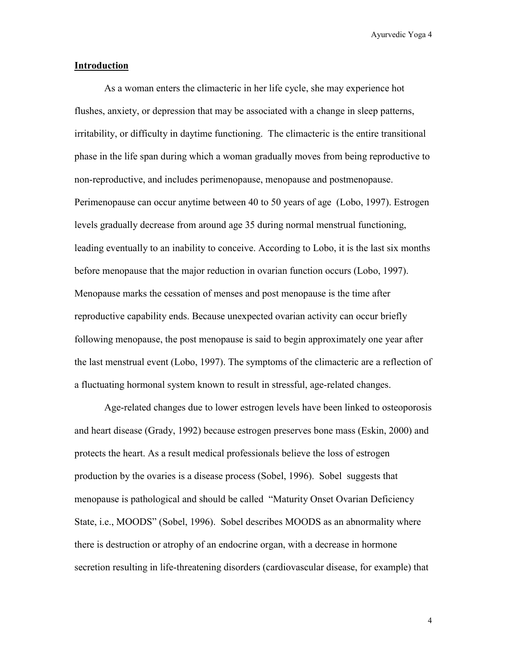### **Introduction**

As a woman enters the climacteric in her life cycle, she may experience hot flushes, anxiety, or depression that may be associated with a change in sleep patterns, irritability, or difficulty in daytime functioning. The climacteric is the entire transitional phase in the life span during which a woman gradually moves from being reproductive to non-reproductive, and includes perimenopause, menopause and postmenopause. Perimenopause can occur anytime between 40 to 50 years of age (Lobo, 1997). Estrogen levels gradually decrease from around age 35 during normal menstrual functioning, leading eventually to an inability to conceive. According to Lobo, it is the last six months before menopause that the major reduction in ovarian function occurs (Lobo, 1997). Menopause marks the cessation of menses and post menopause is the time after reproductive capability ends. Because unexpected ovarian activity can occur briefly following menopause, the post menopause is said to begin approximately one year after the last menstrual event (Lobo, 1997). The symptoms of the climacteric are a reflection of a fluctuating hormonal system known to result in stressful, age-related changes.

Age-related changes due to lower estrogen levels have been linked to osteoporosis and heart disease (Grady, 1992) because estrogen preserves bone mass (Eskin, 2000) and protects the heart. As a result medical professionals believe the loss of estrogen production by the ovaries is a disease process (Sobel, 1996). Sobel suggests that menopause is pathological and should be called "Maturity Onset Ovarian Deficiency State, i.e., MOODS" (Sobel, 1996). Sobel describes MOODS as an abnormality where there is destruction or atrophy of an endocrine organ, with a decrease in hormone secretion resulting in life-threatening disorders (cardiovascular disease, for example) that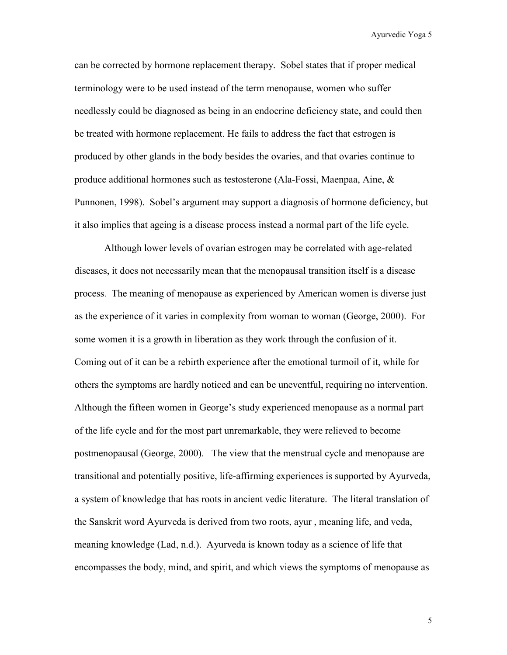can be corrected by hormone replacement therapy. Sobel states that if proper medical terminology were to be used instead of the term menopause, women who suffer needlessly could be diagnosed as being in an endocrine deficiency state, and could then be treated with hormone replacement. He fails to address the fact that estrogen is produced by other glands in the body besides the ovaries, and that ovaries continue to produce additional hormones such as testosterone (Ala-Fossi, Maenpaa, Aine, & Punnonen, 1998). Sobel's argument may support a diagnosis of hormone deficiency, but it also implies that ageing is a disease process instead a normal part of the life cycle.

Although lower levels of ovarian estrogen may be correlated with age-related diseases, it does not necessarily mean that the menopausal transition itself is a disease process. The meaning of menopause as experienced by American women is diverse just as the experience of it varies in complexity from woman to woman (George, 2000). For some women it is a growth in liberation as they work through the confusion of it. Coming out of it can be a rebirth experience after the emotional turmoil of it, while for others the symptoms are hardly noticed and can be uneventful, requiring no intervention. Although the fifteen women in George's study experienced menopause as a normal part of the life cycle and for the most part unremarkable, they were relieved to become postmenopausal (George, 2000). The view that the menstrual cycle and menopause are transitional and potentially positive, life-affirming experiences is supported by Ayurveda, a system of knowledge that has roots in ancient vedic literature. The literal translation of the Sanskrit word Ayurveda is derived from two roots, ayur , meaning life, and veda, meaning knowledge (Lad, n.d.). Ayurveda is known today as a science of life that encompasses the body, mind, and spirit, and which views the symptoms of menopause as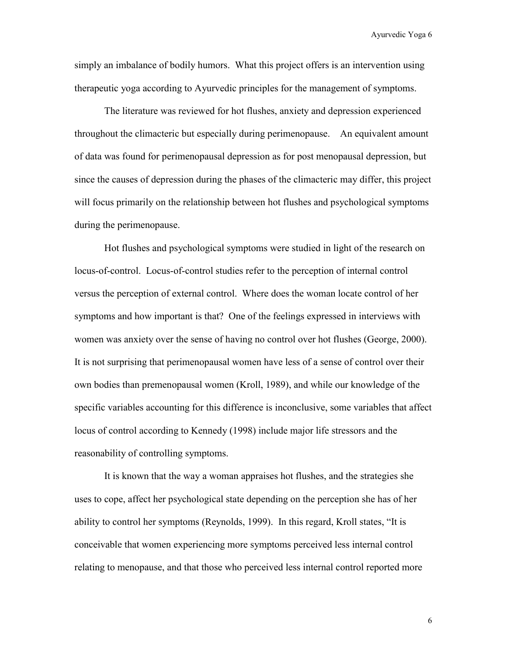simply an imbalance of bodily humors. What this project offers is an intervention using therapeutic yoga according to Ayurvedic principles for the management of symptoms.

The literature was reviewed for hot flushes, anxiety and depression experienced throughout the climacteric but especially during perimenopause. An equivalent amount of data was found for perimenopausal depression as for post menopausal depression, but since the causes of depression during the phases of the climacteric may differ, this project will focus primarily on the relationship between hot flushes and psychological symptoms during the perimenopause.

Hot flushes and psychological symptoms were studied in light of the research on locus-of-control. Locus-of-control studies refer to the perception of internal control versus the perception of external control. Where does the woman locate control of her symptoms and how important is that? One of the feelings expressed in interviews with women was anxiety over the sense of having no control over hot flushes (George, 2000). It is not surprising that perimenopausal women have less of a sense of control over their own bodies than premenopausal women (Kroll, 1989), and while our knowledge of the specific variables accounting for this difference is inconclusive, some variables that affect locus of control according to Kennedy (1998) include major life stressors and the reasonability of controlling symptoms.

It is known that the way a woman appraises hot flushes, and the strategies she uses to cope, affect her psychological state depending on the perception she has of her ability to control her symptoms (Reynolds, 1999). In this regard, Kroll states, "It is conceivable that women experiencing more symptoms perceived less internal control relating to menopause, and that those who perceived less internal control reported more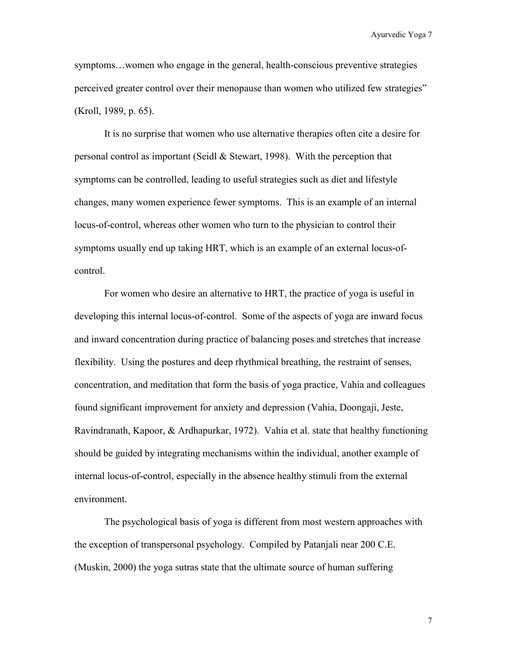symptoms…women who engage in the general, health-conscious preventive strategies perceived greater control over their menopause than women who utilized few strategies" (Kroll, 1989, p. 65).

It is no surprise that women who use alternative therapies often cite a desire for personal control as important (Seidl  $&$  Stewart, 1998). With the perception that symptoms can be controlled, leading to useful strategies such as diet and lifestyle changes, many women experience fewer symptoms. This is an example of an internal locus-of-control, whereas other women who turn to the physician to control their symptoms usually end up taking HRT, which is an example of an external locus-ofcontrol.

For women who desire an alternative to HRT, the practice of yoga is useful in developing this internal locus-of-control. Some of the aspects of yoga are inward focus and inward concentration during practice of balancing poses and stretches that increase flexibility. Using the postures and deep rhythmical breathing, the restraint of senses, concentration, and meditation that form the basis of yoga practice, Vahia and colleagues found significant improvement for anxiety and depression (Vahia, Doongaji, Jeste, Ravindranath, Kapoor, & Ardhapurkar, 1972). Vahia et al. state that healthy functioning should be guided by integrating mechanisms within the individual, another example of internal locus-of-control, especially in the absence healthy stimuli from the external environment.

The psychological basis of yoga is different from most western approaches with the exception of transpersonal psychology. Compiled by Patanjali near 200 C.E. (Muskin, 2000) the yoga sutras state that the ultimate source of human suffering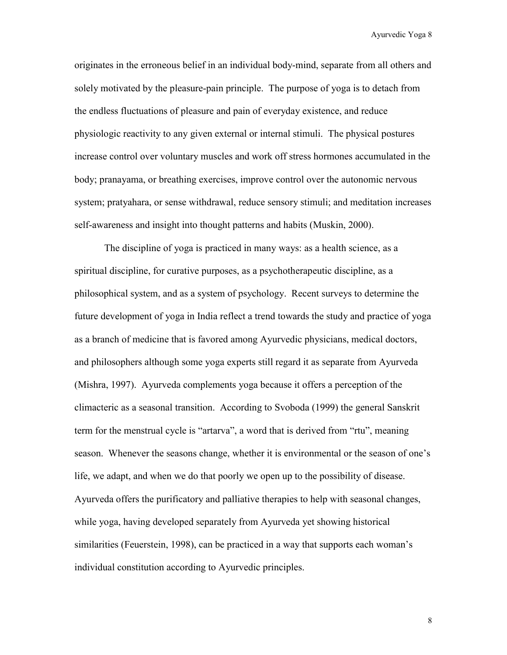originates in the erroneous belief in an individual body-mind, separate from all others and solely motivated by the pleasure-pain principle. The purpose of yoga is to detach from the endless fluctuations of pleasure and pain of everyday existence, and reduce physiologic reactivity to any given external or internal stimuli. The physical postures increase control over voluntary muscles and work off stress hormones accumulated in the body; pranayama, or breathing exercises, improve control over the autonomic nervous system; pratyahara, or sense withdrawal, reduce sensory stimuli; and meditation increases self-awareness and insight into thought patterns and habits (Muskin, 2000).

The discipline of yoga is practiced in many ways: as a health science, as a spiritual discipline, for curative purposes, as a psychotherapeutic discipline, as a philosophical system, and as a system of psychology. Recent surveys to determine the future development of yoga in India reflect a trend towards the study and practice of yoga as a branch of medicine that is favored among Ayurvedic physicians, medical doctors, and philosophers although some yoga experts still regard it as separate from Ayurveda (Mishra, 1997). Ayurveda complements yoga because it offers a perception of the climacteric as a seasonal transition. According to Svoboda (1999) the general Sanskrit term for the menstrual cycle is "artarva", a word that is derived from "rtu", meaning season. Whenever the seasons change, whether it is environmental or the season of one's life, we adapt, and when we do that poorly we open up to the possibility of disease. Ayurveda offers the purificatory and palliative therapies to help with seasonal changes, while yoga, having developed separately from Ayurveda yet showing historical similarities (Feuerstein, 1998), can be practiced in a way that supports each woman's individual constitution according to Ayurvedic principles.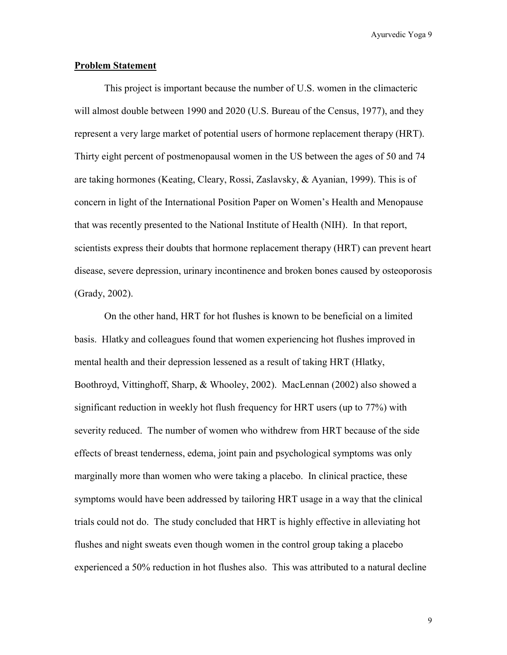### **Problem Statement**

 This project is important because the number of U.S. women in the climacteric will almost double between 1990 and 2020 (U.S. Bureau of the Census, 1977), and they represent a very large market of potential users of hormone replacement therapy (HRT). Thirty eight percent of postmenopausal women in the US between the ages of 50 and 74 are taking hormones (Keating, Cleary, Rossi, Zaslavsky, & Ayanian, 1999). This is of concern in light of the International Position Paper on Women's Health and Menopause that was recently presented to the National Institute of Health (NIH). In that report, scientists express their doubts that hormone replacement therapy (HRT) can prevent heart disease, severe depression, urinary incontinence and broken bones caused by osteoporosis (Grady, 2002).

 On the other hand, HRT for hot flushes is known to be beneficial on a limited basis. Hlatky and colleagues found that women experiencing hot flushes improved in mental health and their depression lessened as a result of taking HRT (Hlatky, Boothroyd, Vittinghoff, Sharp, & Whooley, 2002). MacLennan (2002) also showed a significant reduction in weekly hot flush frequency for HRT users (up to 77%) with severity reduced. The number of women who withdrew from HRT because of the side effects of breast tenderness, edema, joint pain and psychological symptoms was only marginally more than women who were taking a placebo. In clinical practice, these symptoms would have been addressed by tailoring HRT usage in a way that the clinical trials could not do. The study concluded that HRT is highly effective in alleviating hot flushes and night sweats even though women in the control group taking a placebo experienced a 50% reduction in hot flushes also. This was attributed to a natural decline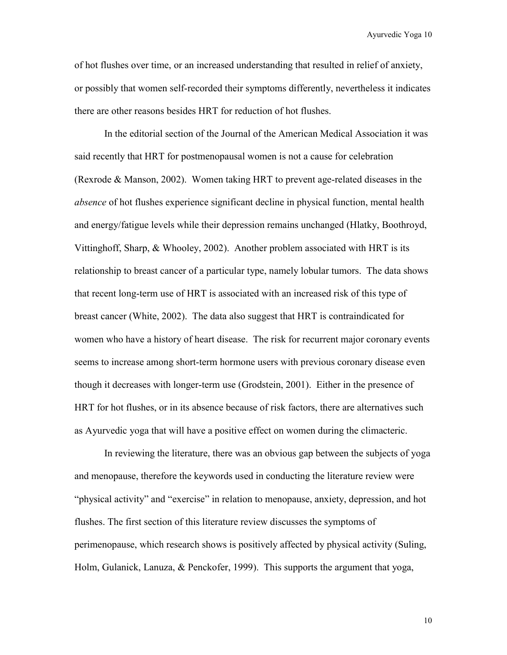of hot flushes over time, or an increased understanding that resulted in relief of anxiety, or possibly that women self-recorded their symptoms differently, nevertheless it indicates there are other reasons besides HRT for reduction of hot flushes.

 In the editorial section of the Journal of the American Medical Association it was said recently that HRT for postmenopausal women is not a cause for celebration (Rexrode & Manson, 2002). Women taking HRT to prevent age-related diseases in the *absence* of hot flushes experience significant decline in physical function, mental health and energy/fatigue levels while their depression remains unchanged (Hlatky, Boothroyd, Vittinghoff, Sharp, & Whooley, 2002). Another problem associated with HRT is its relationship to breast cancer of a particular type, namely lobular tumors. The data shows that recent long-term use of HRT is associated with an increased risk of this type of breast cancer (White, 2002). The data also suggest that HRT is contraindicated for women who have a history of heart disease. The risk for recurrent major coronary events seems to increase among short-term hormone users with previous coronary disease even though it decreases with longer-term use (Grodstein, 2001). Either in the presence of HRT for hot flushes, or in its absence because of risk factors, there are alternatives such as Ayurvedic yoga that will have a positive effect on women during the climacteric.

 In reviewing the literature, there was an obvious gap between the subjects of yoga and menopause, therefore the keywords used in conducting the literature review were "physical activity" and "exercise" in relation to menopause, anxiety, depression, and hot flushes. The first section of this literature review discusses the symptoms of perimenopause, which research shows is positively affected by physical activity (Suling, Holm, Gulanick, Lanuza, & Penckofer, 1999). This supports the argument that yoga,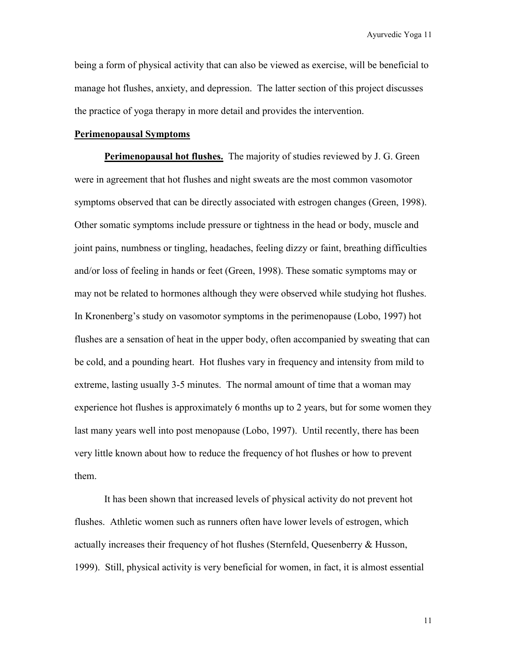being a form of physical activity that can also be viewed as exercise, will be beneficial to manage hot flushes, anxiety, and depression. The latter section of this project discusses the practice of yoga therapy in more detail and provides the intervention.

#### **Perimenopausal Symptoms**

**Perimenopausal hot flushes.** The majority of studies reviewed by J. G. Green were in agreement that hot flushes and night sweats are the most common vasomotor symptoms observed that can be directly associated with estrogen changes (Green, 1998). Other somatic symptoms include pressure or tightness in the head or body, muscle and joint pains, numbness or tingling, headaches, feeling dizzy or faint, breathing difficulties and/or loss of feeling in hands or feet (Green, 1998). These somatic symptoms may or may not be related to hormones although they were observed while studying hot flushes. In Kronenberg's study on vasomotor symptoms in the perimenopause (Lobo, 1997) hot flushes are a sensation of heat in the upper body, often accompanied by sweating that can be cold, and a pounding heart. Hot flushes vary in frequency and intensity from mild to extreme, lasting usually 3-5 minutes. The normal amount of time that a woman may experience hot flushes is approximately 6 months up to 2 years, but for some women they last many years well into post menopause (Lobo, 1997). Until recently, there has been very little known about how to reduce the frequency of hot flushes or how to prevent them.

It has been shown that increased levels of physical activity do not prevent hot flushes. Athletic women such as runners often have lower levels of estrogen, which actually increases their frequency of hot flushes (Sternfeld, Quesenberry & Husson, 1999).Still, physical activity is very beneficial for women, in fact, it is almost essential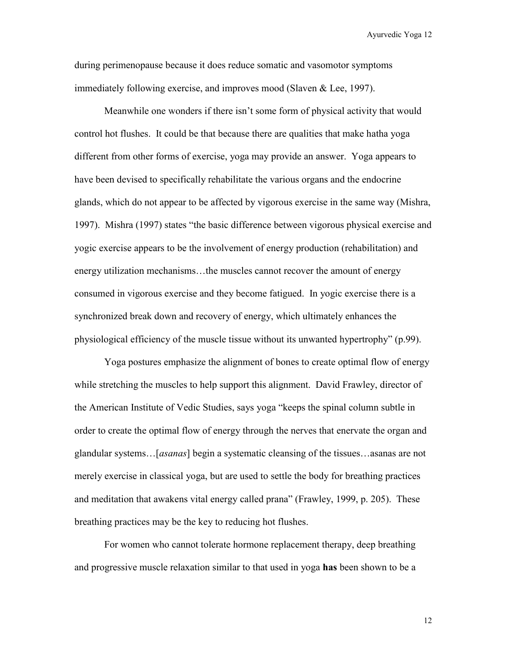during perimenopause because it does reduce somatic and vasomotor symptoms immediately following exercise, and improves mood (Slaven & Lee, 1997).

Meanwhile one wonders if there isn't some form of physical activity that would control hot flushes. It could be that because there are qualities that make hatha yoga different from other forms of exercise, yoga may provide an answer. Yoga appears to have been devised to specifically rehabilitate the various organs and the endocrine glands, which do not appear to be affected by vigorous exercise in the same way (Mishra, 1997). Mishra (1997) states "the basic difference between vigorous physical exercise and yogic exercise appears to be the involvement of energy production (rehabilitation) and energy utilization mechanisms…the muscles cannot recover the amount of energy consumed in vigorous exercise and they become fatigued. In yogic exercise there is a synchronized break down and recovery of energy, which ultimately enhances the physiological efficiency of the muscle tissue without its unwanted hypertrophy" (p.99).

Yoga postures emphasize the alignment of bones to create optimal flow of energy while stretching the muscles to help support this alignment. David Frawley, director of the American Institute of Vedic Studies, says yoga "keeps the spinal column subtle in order to create the optimal flow of energy through the nerves that enervate the organ and glandular systems…[*asanas*] begin a systematic cleansing of the tissues…asanas are not merely exercise in classical yoga, but are used to settle the body for breathing practices and meditation that awakens vital energy called prana" (Frawley, 1999, p. 205). These breathing practices may be the key to reducing hot flushes.

For women who cannot tolerate hormone replacement therapy, deep breathing and progressive muscle relaxation similar to that used in yoga **has** been shown to be a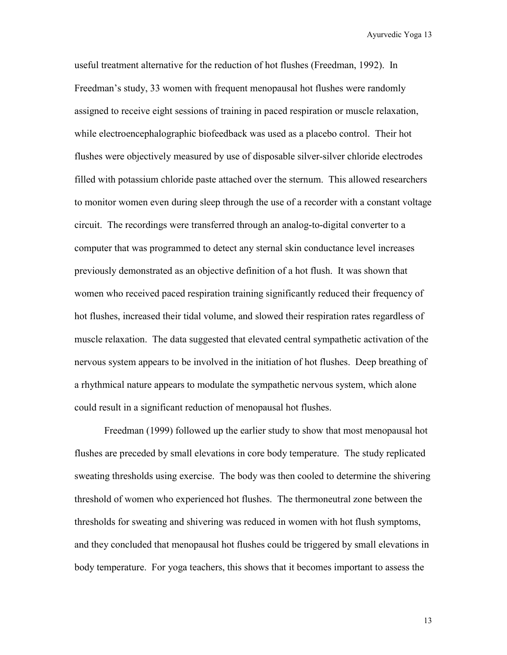useful treatment alternative for the reduction of hot flushes (Freedman, 1992). In Freedman's study, 33 women with frequent menopausal hot flushes were randomly assigned to receive eight sessions of training in paced respiration or muscle relaxation, while electroencephalographic biofeedback was used as a placebo control. Their hot flushes were objectively measured by use of disposable silver-silver chloride electrodes filled with potassium chloride paste attached over the sternum. This allowed researchers to monitor women even during sleep through the use of a recorder with a constant voltage circuit. The recordings were transferred through an analog-to-digital converter to a computer that was programmed to detect any sternal skin conductance level increases previously demonstrated as an objective definition of a hot flush. It was shown that women who received paced respiration training significantly reduced their frequency of hot flushes, increased their tidal volume, and slowed their respiration rates regardless of muscle relaxation. The data suggested that elevated central sympathetic activation of the nervous system appears to be involved in the initiation of hot flushes. Deep breathing of a rhythmical nature appears to modulate the sympathetic nervous system, which alone could result in a significant reduction of menopausal hot flushes.

Freedman (1999) followed up the earlier study to show that most menopausal hot flushes are preceded by small elevations in core body temperature. The study replicated sweating thresholds using exercise. The body was then cooled to determine the shivering threshold of women who experienced hot flushes. The thermoneutral zone between the thresholds for sweating and shivering was reduced in women with hot flush symptoms, and they concluded that menopausal hot flushes could be triggered by small elevations in body temperature. For yoga teachers, this shows that it becomes important to assess the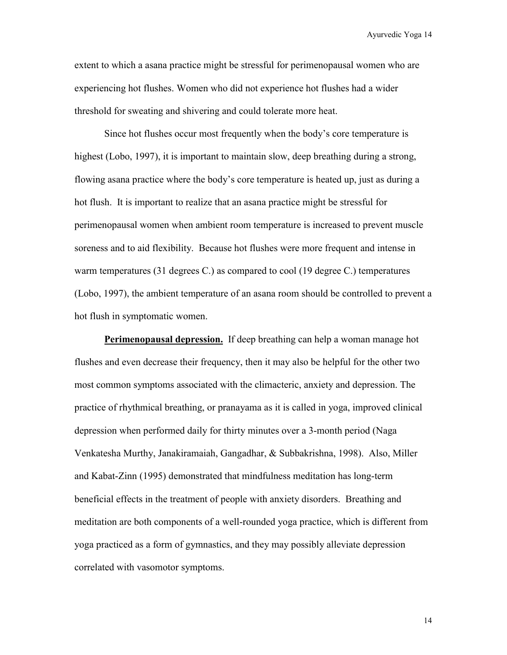extent to which a asana practice might be stressful for perimenopausal women who are experiencing hot flushes. Women who did not experience hot flushes had a wider threshold for sweating and shivering and could tolerate more heat.

Since hot flushes occur most frequently when the body's core temperature is highest (Lobo, 1997), it is important to maintain slow, deep breathing during a strong, flowing asana practice where the body's core temperature is heated up, just as during a hot flush. It is important to realize that an asana practice might be stressful for perimenopausal women when ambient room temperature is increased to prevent muscle soreness and to aid flexibility. Because hot flushes were more frequent and intense in warm temperatures (31 degrees C.) as compared to cool (19 degree C.) temperatures (Lobo, 1997), the ambient temperature of an asana room should be controlled to prevent a hot flush in symptomatic women.

**Perimenopausal depression.** If deep breathing can help a woman manage hot flushes and even decrease their frequency, then it may also be helpful for the other two most common symptoms associated with the climacteric, anxiety and depression. The practice of rhythmical breathing, or pranayama as it is called in yoga, improved clinical depression when performed daily for thirty minutes over a 3-month period (Naga Venkatesha Murthy, Janakiramaiah, Gangadhar, & Subbakrishna, 1998). Also, Miller and Kabat-Zinn (1995) demonstrated that mindfulness meditation has long-term beneficial effects in the treatment of people with anxiety disorders. Breathing and meditation are both components of a well-rounded yoga practice, which is different from yoga practiced as a form of gymnastics, and they may possibly alleviate depression correlated with vasomotor symptoms.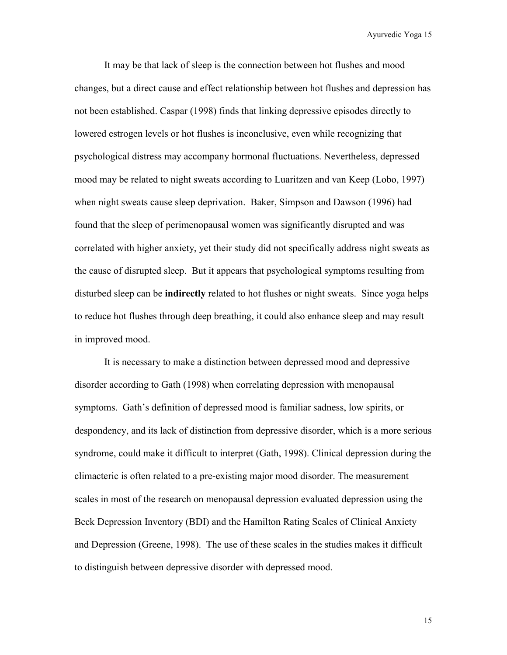It may be that lack of sleep is the connection between hot flushes and mood changes, but a direct cause and effect relationship between hot flushes and depression has not been established. Caspar (1998) finds that linking depressive episodes directly to lowered estrogen levels or hot flushes is inconclusive, even while recognizing that psychological distress may accompany hormonal fluctuations. Nevertheless, depressed mood may be related to night sweats according to Luaritzen and van Keep (Lobo, 1997) when night sweats cause sleep deprivation. Baker, Simpson and Dawson (1996) had found that the sleep of perimenopausal women was significantly disrupted and was correlated with higher anxiety, yet their study did not specifically address night sweats as the cause of disrupted sleep. But it appears that psychological symptoms resulting from disturbed sleep can be **indirectly** related to hot flushes or night sweats. Since yoga helps to reduce hot flushes through deep breathing, it could also enhance sleep and may result in improved mood.

It is necessary to make a distinction between depressed mood and depressive disorder according to Gath (1998) when correlating depression with menopausal symptoms. Gath's definition of depressed mood is familiar sadness, low spirits, or despondency, and its lack of distinction from depressive disorder, which is a more serious syndrome, could make it difficult to interpret (Gath, 1998). Clinical depression during the climacteric is often related to a pre-existing major mood disorder. The measurement scales in most of the research on menopausal depression evaluated depression using the Beck Depression Inventory (BDI) and the Hamilton Rating Scales of Clinical Anxiety and Depression (Greene, 1998). The use of these scales in the studies makes it difficult to distinguish between depressive disorder with depressed mood.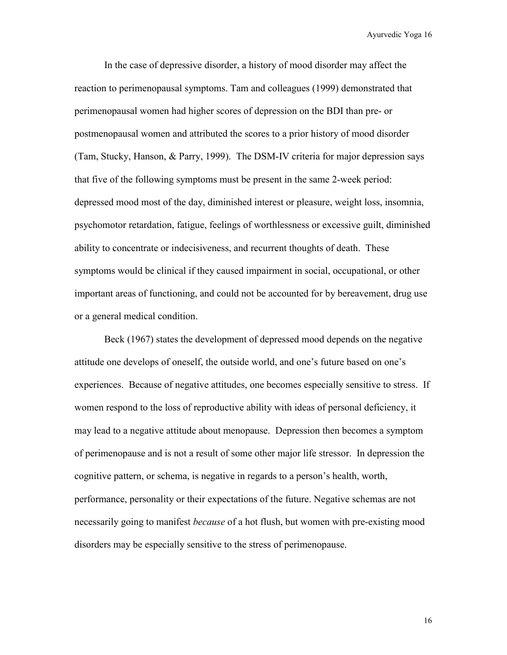In the case of depressive disorder, a history of mood disorder may affect the reaction to perimenopausal symptoms. Tam and colleagues (1999) demonstrated that perimenopausal women had higher scores of depression on the BDI than pre- or postmenopausal women and attributed the scores to a prior history of mood disorder (Tam, Stucky, Hanson, & Parry, 1999). The DSM-IV criteria for major depression says that five of the following symptoms must be present in the same 2-week period: depressed mood most of the day, diminished interest or pleasure, weight loss, insomnia, psychomotor retardation, fatigue, feelings of worthlessness or excessive guilt, diminished ability to concentrate or indecisiveness, and recurrent thoughts of death. These symptoms would be clinical if they caused impairment in social, occupational, or other important areas of functioning, and could not be accounted for by bereavement, drug use or a general medical condition.

Beck (1967) states the development of depressed mood depends on the negative attitude one develops of oneself, the outside world, and one's future based on one's experiences. Because of negative attitudes, one becomes especially sensitive to stress. If women respond to the loss of reproductive ability with ideas of personal deficiency, it may lead to a negative attitude about menopause. Depression then becomes a symptom of perimenopause and is not a result of some other major life stressor. In depression the cognitive pattern, or schema, is negative in regards to a person's health, worth, performance, personality or their expectations of the future. Negative schemas are not necessarily going to manifest *because* of a hot flush, but women with pre-existing mood disorders may be especially sensitive to the stress of perimenopause.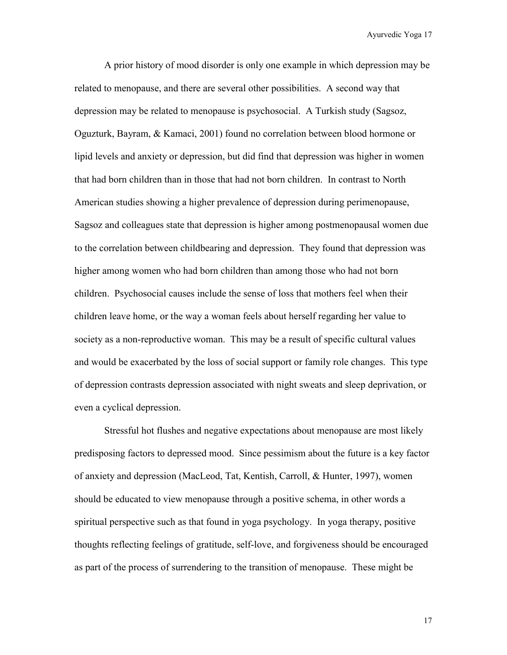A prior history of mood disorder is only one example in which depression may be related to menopause, and there are several other possibilities. A second way that depression may be related to menopause is psychosocial. A Turkish study (Sagsoz, Oguzturk, Bayram, & Kamaci, 2001) found no correlation between blood hormone or lipid levels and anxiety or depression, but did find that depression was higher in women that had born children than in those that had not born children. In contrast to North American studies showing a higher prevalence of depression during perimenopause, Sagsoz and colleagues state that depression is higher among postmenopausal women due to the correlation between childbearing and depression. They found that depression was higher among women who had born children than among those who had not born children. Psychosocial causes include the sense of loss that mothers feel when their children leave home, or the way a woman feels about herself regarding her value to society as a non-reproductive woman. This may be a result of specific cultural values and would be exacerbated by the loss of social support or family role changes. This type of depression contrasts depression associated with night sweats and sleep deprivation, or even a cyclical depression.

Stressful hot flushes and negative expectations about menopause are most likely predisposing factors to depressed mood. Since pessimism about the future is a key factor of anxiety and depression (MacLeod, Tat, Kentish, Carroll, & Hunter, 1997), women should be educated to view menopause through a positive schema, in other words a spiritual perspective such as that found in yoga psychology. In yoga therapy, positive thoughts reflecting feelings of gratitude, self-love, and forgiveness should be encouraged as part of the process of surrendering to the transition of menopause. These might be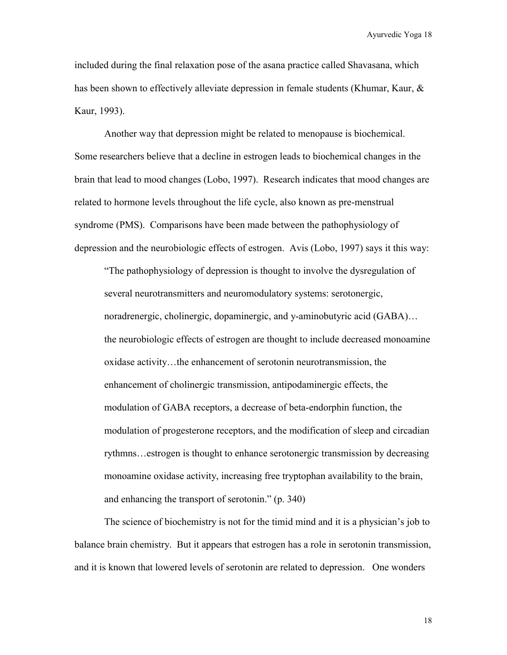included during the final relaxation pose of the asana practice called Shavasana, which has been shown to effectively alleviate depression in female students (Khumar, Kaur, & Kaur, 1993).

Another way that depression might be related to menopause is biochemical. Some researchers believe that a decline in estrogen leads to biochemical changes in the brain that lead to mood changes (Lobo, 1997). Research indicates that mood changes are related to hormone levels throughout the life cycle, also known as pre-menstrual syndrome (PMS). Comparisons have been made between the pathophysiology of depression and the neurobiologic effects of estrogen. Avis (Lobo, 1997) says it this way:

"The pathophysiology of depression is thought to involve the dysregulation of several neurotransmitters and neuromodulatory systems: serotonergic, noradrenergic, cholinergic, dopaminergic, and y-aminobutyric acid (GABA)... the neurobiologic effects of estrogen are thought to include decreased monoamine oxidase activity…the enhancement of serotonin neurotransmission, the enhancement of cholinergic transmission, antipodaminergic effects, the modulation of GABA receptors, a decrease of beta-endorphin function, the modulation of progesterone receptors, and the modification of sleep and circadian rythmns…estrogen is thought to enhance serotonergic transmission by decreasing monoamine oxidase activity, increasing free tryptophan availability to the brain, and enhancing the transport of serotonin." (p. 340)

The science of biochemistry is not for the timid mind and it is a physician's job to balance brain chemistry. But it appears that estrogen has a role in serotonin transmission, and it is known that lowered levels of serotonin are related to depression. One wonders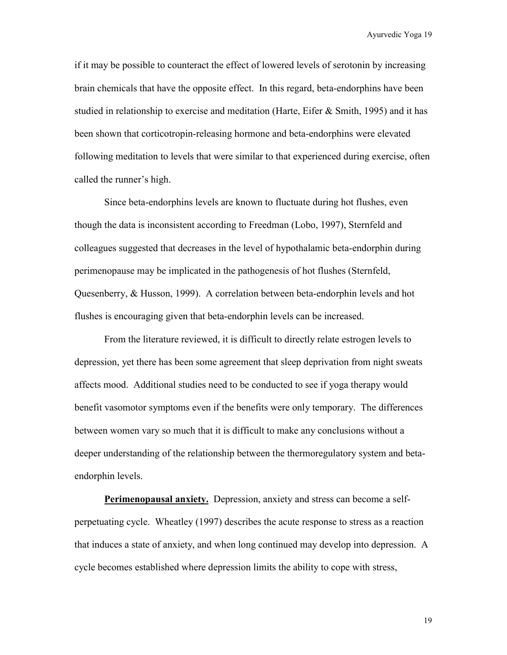if it may be possible to counteract the effect of lowered levels of serotonin by increasing brain chemicals that have the opposite effect. In this regard, beta-endorphins have been studied in relationship to exercise and meditation (Harte, Eifer  $\&$  Smith, 1995) and it has been shown that corticotropin-releasing hormone and beta-endorphins were elevated following meditation to levels that were similar to that experienced during exercise, often called the runner's high.

Since beta-endorphins levels are known to fluctuate during hot flushes, even though the data is inconsistent according to Freedman (Lobo, 1997), Sternfeld and colleagues suggested that decreases in the level of hypothalamic beta-endorphin during perimenopause may be implicated in the pathogenesis of hot flushes (Sternfeld, Quesenberry, & Husson, 1999). A correlation between beta-endorphin levels and hot flushes is encouraging given that beta-endorphin levels can be increased.

From the literature reviewed, it is difficult to directly relate estrogen levels to depression, yet there has been some agreement that sleep deprivation from night sweats affects mood. Additional studies need to be conducted to see if yoga therapy would benefit vasomotor symptoms even if the benefits were only temporary. The differences between women vary so much that it is difficult to make any conclusions without a deeper understanding of the relationship between the thermoregulatory system and betaendorphin levels.

**Perimenopausal anxiety.** Depression, anxiety and stress can become a selfperpetuating cycle. Wheatley (1997) describes the acute response to stress as a reaction that induces a state of anxiety, and when long continued may develop into depression. A cycle becomes established where depression limits the ability to cope with stress,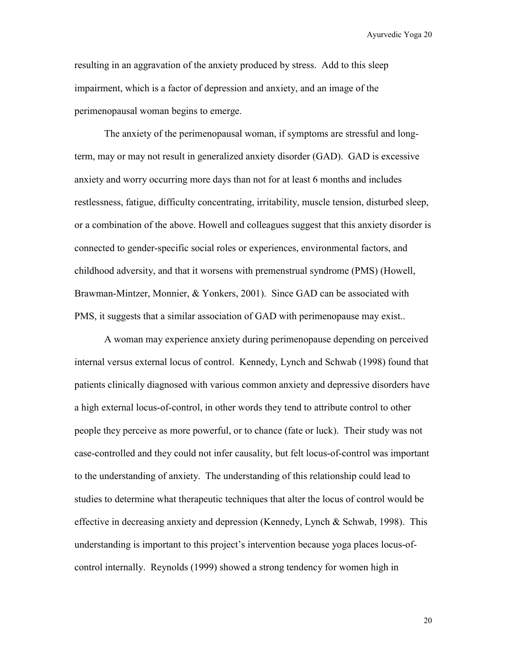resulting in an aggravation of the anxiety produced by stress. Add to this sleep impairment, which is a factor of depression and anxiety, and an image of the perimenopausal woman begins to emerge.

The anxiety of the perimenopausal woman, if symptoms are stressful and longterm, may or may not result in generalized anxiety disorder (GAD). GAD is excessive anxiety and worry occurring more days than not for at least 6 months and includes restlessness, fatigue, difficulty concentrating, irritability, muscle tension, disturbed sleep, or a combination of the above. Howell and colleagues suggest that this anxiety disorder is connected to gender-specific social roles or experiences, environmental factors, and childhood adversity, and that it worsens with premenstrual syndrome (PMS) (Howell, Brawman-Mintzer, Monnier, & Yonkers, 2001). Since GAD can be associated with PMS, it suggests that a similar association of GAD with perimenopause may exist..

A woman may experience anxiety during perimenopause depending on perceived internal versus external locus of control. Kennedy, Lynch and Schwab (1998) found that patients clinically diagnosed with various common anxiety and depressive disorders have a high external locus-of-control, in other words they tend to attribute control to other people they perceive as more powerful, or to chance (fate or luck). Their study was not case-controlled and they could not infer causality, but felt locus-of-control was important to the understanding of anxiety. The understanding of this relationship could lead to studies to determine what therapeutic techniques that alter the locus of control would be effective in decreasing anxiety and depression (Kennedy, Lynch  $\&$  Schwab, 1998). This understanding is important to this project's intervention because yoga places locus-ofcontrol internally. Reynolds (1999) showed a strong tendency for women high in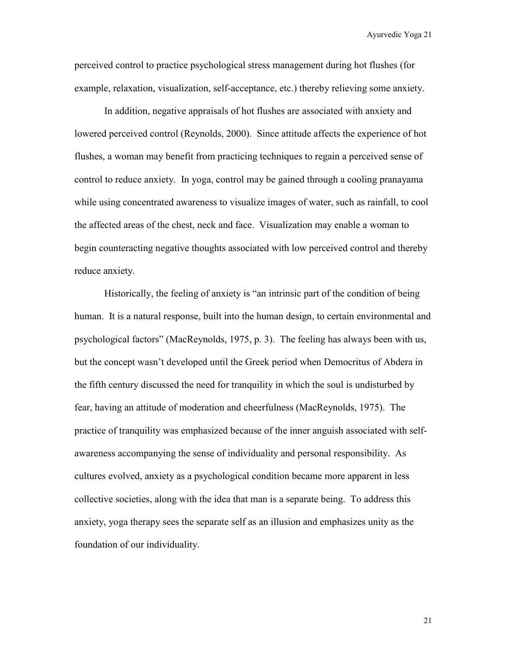perceived control to practice psychological stress management during hot flushes (for example, relaxation, visualization, self-acceptance, etc.) thereby relieving some anxiety.

In addition, negative appraisals of hot flushes are associated with anxiety and lowered perceived control (Reynolds, 2000). Since attitude affects the experience of hot flushes, a woman may benefit from practicing techniques to regain a perceived sense of control to reduce anxiety. In yoga, control may be gained through a cooling pranayama while using concentrated awareness to visualize images of water, such as rainfall, to cool the affected areas of the chest, neck and face. Visualization may enable a woman to begin counteracting negative thoughts associated with low perceived control and thereby reduce anxiety.

Historically, the feeling of anxiety is "an intrinsic part of the condition of being human. It is a natural response, built into the human design, to certain environmental and psychological factors" (MacReynolds, 1975, p. 3). The feeling has always been with us, but the concept wasn't developed until the Greek period when Democritus of Abdera in the fifth century discussed the need for tranquility in which the soul is undisturbed by fear, having an attitude of moderation and cheerfulness (MacReynolds, 1975). The practice of tranquility was emphasized because of the inner anguish associated with selfawareness accompanying the sense of individuality and personal responsibility. As cultures evolved, anxiety as a psychological condition became more apparent in less collective societies, along with the idea that man is a separate being. To address this anxiety, yoga therapy sees the separate self as an illusion and emphasizes unity as the foundation of our individuality.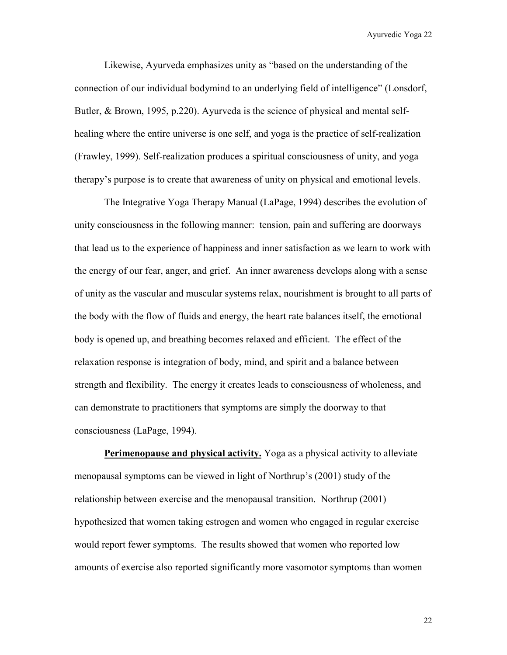Likewise, Ayurveda emphasizes unity as "based on the understanding of the connection of our individual bodymind to an underlying field of intelligence" (Lonsdorf, Butler, & Brown, 1995, p.220). Ayurveda is the science of physical and mental selfhealing where the entire universe is one self, and yoga is the practice of self-realization (Frawley, 1999). Self-realization produces a spiritual consciousness of unity, and yoga therapy's purpose is to create that awareness of unity on physical and emotional levels.

The Integrative Yoga Therapy Manual (LaPage, 1994) describes the evolution of unity consciousness in the following manner: tension, pain and suffering are doorways that lead us to the experience of happiness and inner satisfaction as we learn to work with the energy of our fear, anger, and grief. An inner awareness develops along with a sense of unity as the vascular and muscular systems relax, nourishment is brought to all parts of the body with the flow of fluids and energy, the heart rate balances itself, the emotional body is opened up, and breathing becomes relaxed and efficient. The effect of the relaxation response is integration of body, mind, and spirit and a balance between strength and flexibility. The energy it creates leads to consciousness of wholeness, and can demonstrate to practitioners that symptoms are simply the doorway to that consciousness (LaPage, 1994).

**Perimenopause and physical activity.** Yoga as a physical activity to alleviate menopausal symptoms can be viewed in light of Northrup's (2001) study of the relationship between exercise and the menopausal transition. Northrup (2001) hypothesized that women taking estrogen and women who engaged in regular exercise would report fewer symptoms. The results showed that women who reported low amounts of exercise also reported significantly more vasomotor symptoms than women